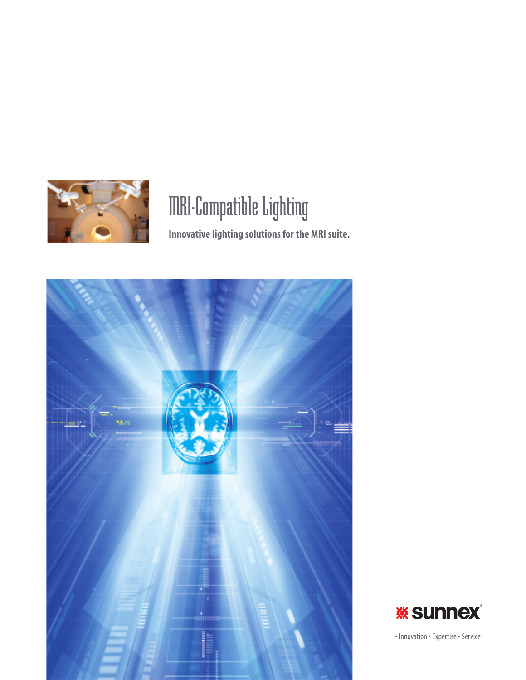

# MRI-Compatible Lighting

**Innovative lighting solutions for the MRI suite.**





• Innovation • Expertise • Service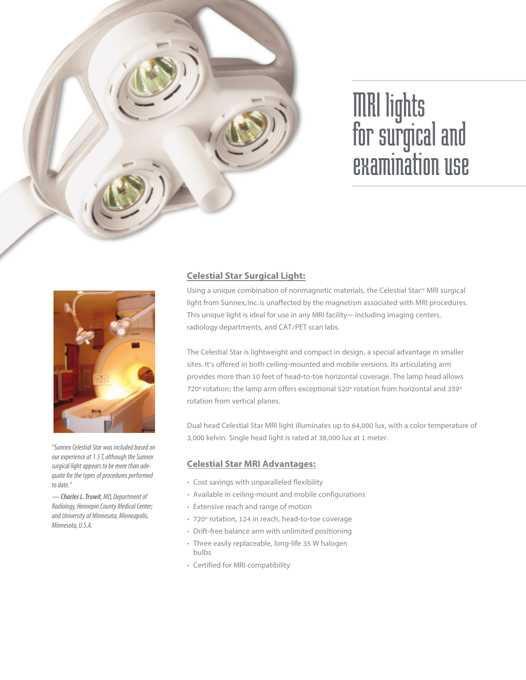

# MRI lights for surgical and examination use



*"Sunnex Celestial Star was included based on our experience at 1.5 T, although the Sunnex surgical light appears to be more than adequate for the types of procedures performed todate."*

*—Charles L.Truwit,MD, Department of Radiology, Hennepin County Medical Center; and University of Minnesota, Minneapolis, Minnesota, U.S.A.*

# **Celestial Star Surgical Light:**

Using a unique combination of nonmagnetic materials, the Celestial Star<sup>™</sup> MRI surgical light from Sunnex, Inc.is unaffected by the magnetism associated with MRI procedures. This unique light is ideal for use in any MRI facility— including imaging centers, radiology departments, and CAT/PET scan labs.

The Celestial Star is lightweight and compact in design, a special advantage in smaller sites. It's offered in both ceiling-mounted and mobile versions. Its articulating arm provides more than 10 feet of head-to-toe horizontal coverage. The lamp head allows 720° rotation; the lamp arm offers exceptional 520° rotation from horizontal and 359° rotation from vertical planes.

Dual head Celestial Star MRI light illuminates up to 64,000 lux, with a color temperature of 3,000 kelvin. Single head light is rated at 38,000 lux at 1 meter.

## **Celestial Star MRI Advantages:**

- Cost savings with unparalleled flexibility
- Available in ceiling-mount and mobile configurations
- Extensive reach and range of motion
- 720° rotation, 124 in reach, head-to-toe coverage
- Drift-free balance arm with unlimited positioning
- Three easily replaceable, long-life 35 W halogen bulbs
- Certified for MRI compatibility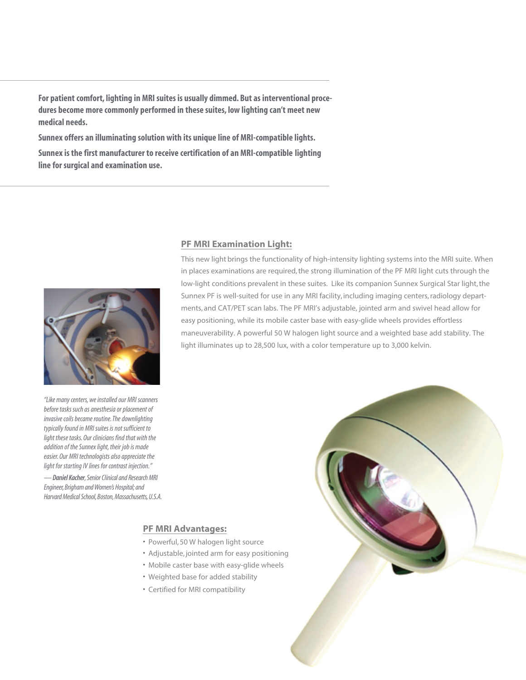**For patient comfort, lighting in MRI suites is usually dimmed. But as interventional procedures become more commonly performed in these suites, low lighting can't meet new medical needs.**

**Sunnex offers an illuminating solution with its unique line of MRI-compatible lights.**

**Sunnex is the first manufacturer to receive certification of an MRI-compatible lighting line for surgical and examination use.**



*"Like many centers, we installed our MRI scanners* before tasks such as anesthesia or placement of *invasive coils became routine. The downlighting typically found in MRI suites is not sufficient to light these tasks. Our clinicians find that with the addition of the Sunnex light, their job is made easier. Our MRI technologists also appreciate the light for starting IV lines for contrast injection."*

*—Daniel Kacher, Senior Clinical and Research MRI Engineer, Brigham and Women's Hospital; and Harvard Medical School, Boston, Massachusetts, U.S.A.*

#### **PF MRI Examination Light:**

This new light brings the functionality of high-intensity lighting systems into the MRI suite. When in places examinations are required, the strong illumination of the PF MRI light cuts through the low-light conditions prevalent in these suites. Like its companion Sunnex Surgical Star light, the Sunnex PF is well-suited for use in any MRI facility, including imaging centers,radiology departments, and CAT/PET scan labs. The PF MRI's adjustable, jointed arm and swivel head allow for easy positioning, while its mobile caster base with easy-glide wheels provides effortless maneuverability. A powerful 50 W halogen light source and a weighted base add stability. The light illuminates up to 28,500 lux, with a color temperature up to 3,000 kelvin.

### **PF MRI Advantages:**

- Powerful,50 W halogen light source
- Adjustable, jointed arm for easy positioning
- Mobile caster base with easy-glide wheels
- Weighted base for added stability
- Certified for MRI compatibility